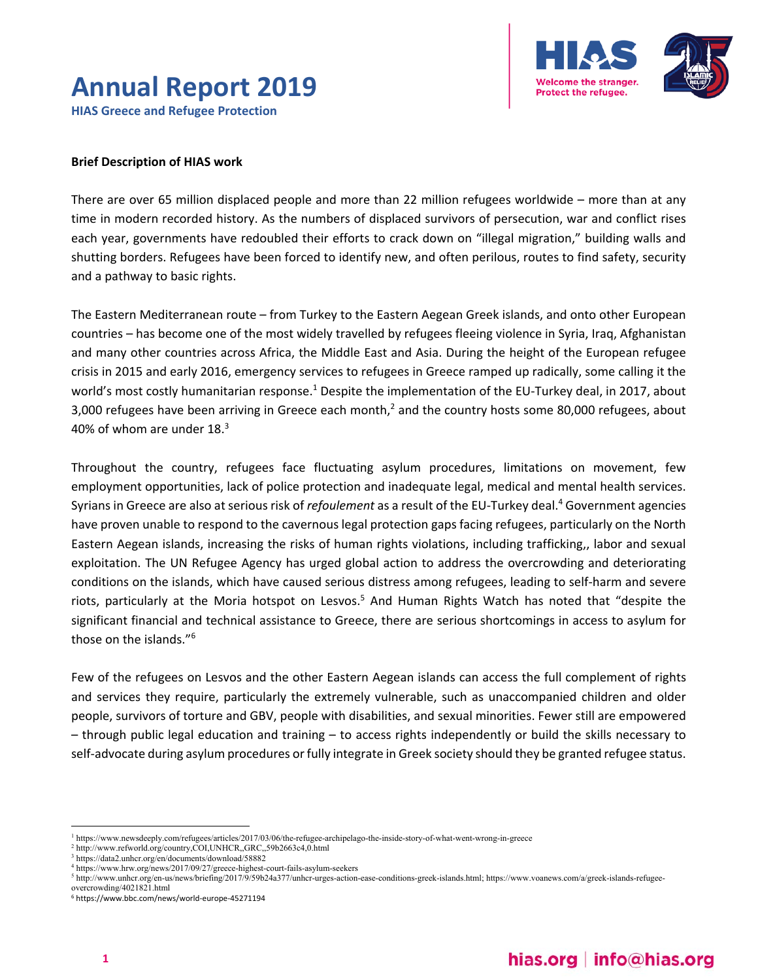## **Annual Report 2019 HIAS Greece and Refugee Protection**



# **Brief Description of HIAS work**

There are over 65 million displaced people and more than 22 million refugees worldwide – more than at any time in modern recorded history. As the numbers of displaced survivors of persecution, war and conflict rises each year, governments have redoubled their efforts to crack down on "illegal migration," building walls and shutting borders. Refugees have been forced to identify new, and often perilous, routes to find safety, security and a pathway to basic rights.

The Eastern Mediterranean route – from Turkey to the Eastern Aegean Greek islands, and onto other European countries – has become one of the most widely travelled by refugees fleeing violence in Syria, Iraq, Afghanistan and many other countries across Africa, the Middle East and Asia. During the height of the European refugee crisis in 2015 and early 2016, emergency services to refugees in Greece ramped up radically, some calling it the world's most costly humanitarian response.<sup>1</sup> Despite the implementation of the EU-Turkey deal, in 2017, about 3,000 refugees have been arriving in Greece each month,<sup>2</sup> and the country hosts some 80,000 refugees, about 40% of whom are under  $18.<sup>3</sup>$ 

Throughout the country, refugees face fluctuating asylum procedures, limitations on movement, few employment opportunities, lack of police protection and inadequate legal, medical and mental health services. Syrians in Greece are also at serious risk of *refoulement* as a result of the EU-Turkey deal.<sup>4</sup> Government agencies have proven unable to respond to the cavernous legal protection gaps facing refugees, particularly on the North Eastern Aegean islands, increasing the risks of human rights violations, including trafficking,, labor and sexual exploitation. The UN Refugee Agency has urged global action to address the overcrowding and deteriorating conditions on the islands, which have caused serious distress among refugees, leading to self‐harm and severe riots, particularly at the Moria hotspot on Lesvos.<sup>5</sup> And Human Rights Watch has noted that "despite the significant financial and technical assistance to Greece, there are serious shortcomings in access to asylum for those on the islands."6

Few of the refugees on Lesvos and the other Eastern Aegean islands can access the full complement of rights and services they require, particularly the extremely vulnerable, such as unaccompanied children and older people, survivors of torture and GBV, people with disabilities, and sexual minorities. Fewer still are empowered – through public legal education and training – to access rights independently or build the skills necessary to self-advocate during asylum procedures or fully integrate in Greek society should they be granted refugee status.

<sup>1</sup> https://www.newsdeeply.com/refugees/articles/2017/03/06/the-refugee-archipelago-the-inside-story-of-what-went-wrong-in-greece

<sup>&</sup>lt;sup>2</sup> http://www.refworld.org/country,COI,UNHCR,,GRC,,59b2663c4,0.html<br><sup>3</sup> http://data2.unber.org/en/documents/download/58882

https://data2.unhcr.org/en/documents/download/58882

 $^{4}$  https://www.hrw.org/news/2017/09/27/greece-highest-court-fails-asylum-seekers  $^{5}$  http://www.upher.org/en.uc/news/brigfing/2017/0/50b24e377/upher.urges.ection

http://www.unhcr.org/en-us/news/briefing/2017/9/59b24a377/unhcr-urges-action-ease-conditions-greek-islands.html; https://www.voanews.com/a/greek-islands-refugeeovercrowding/4021821.html

<sup>6</sup> https://www.bbc.com/news/world‐europe‐45271194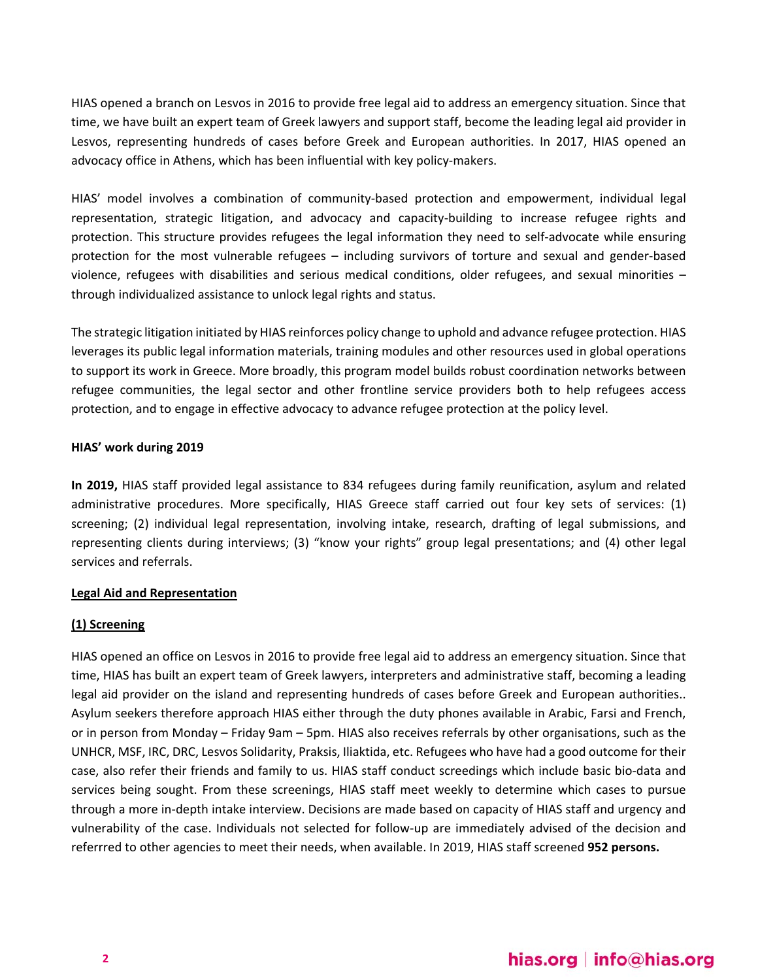HIAS opened a branch on Lesvos in 2016 to provide free legal aid to address an emergency situation. Since that time, we have built an expert team of Greek lawyers and support staff, become the leading legal aid provider in Lesvos, representing hundreds of cases before Greek and European authorities. In 2017, HIAS opened an advocacy office in Athens, which has been influential with key policy-makers.

HIAS' model involves a combination of community‐based protection and empowerment, individual legal representation, strategic litigation, and advocacy and capacity-building to increase refugee rights and protection. This structure provides refugees the legal information they need to self‐advocate while ensuring protection for the most vulnerable refugees - including survivors of torture and sexual and gender-based violence, refugees with disabilities and serious medical conditions, older refugees, and sexual minorities – through individualized assistance to unlock legal rights and status.

The strategic litigation initiated by HIAS reinforces policy change to uphold and advance refugee protection. HIAS leverages its public legal information materials, training modules and other resources used in global operations to support its work in Greece. More broadly, this program model builds robust coordination networks between refugee communities, the legal sector and other frontline service providers both to help refugees access protection, and to engage in effective advocacy to advance refugee protection at the policy level.

#### **HIAS' work during 2019**

**In 2019,** HIAS staff provided legal assistance to 834 refugees during family reunification, asylum and related administrative procedures. More specifically, HIAS Greece staff carried out four key sets of services: (1) screening; (2) individual legal representation, involving intake, research, drafting of legal submissions, and representing clients during interviews; (3) "know your rights" group legal presentations; and (4) other legal services and referrals.

#### **Legal Aid and Representation**

#### **(1) Screening**

HIAS opened an office on Lesvos in 2016 to provide free legal aid to address an emergency situation. Since that time, HIAS has built an expert team of Greek lawyers, interpreters and administrative staff, becoming a leading legal aid provider on the island and representing hundreds of cases before Greek and European authorities.. Asylum seekers therefore approach HIAS either through the duty phones available in Arabic, Farsi and French, or in person from Monday – Friday 9am – 5pm. HIAS also receives referrals by other organisations, such as the UNHCR, MSF, IRC, DRC, Lesvos Solidarity, Praksis, Iliaktida, etc. Refugees who have had a good outcome for their case, also refer their friends and family to us. HIAS staff conduct screedings which include basic bio‐data and services being sought. From these screenings, HIAS staff meet weekly to determine which cases to pursue through a more in‐depth intake interview. Decisions are made based on capacity of HIAS staff and urgency and vulnerability of the case. Individuals not selected for follow‐up are immediately advised of the decision and referrred to other agencies to meet their needs, when available. In 2019, HIAS staff screened **952 persons.**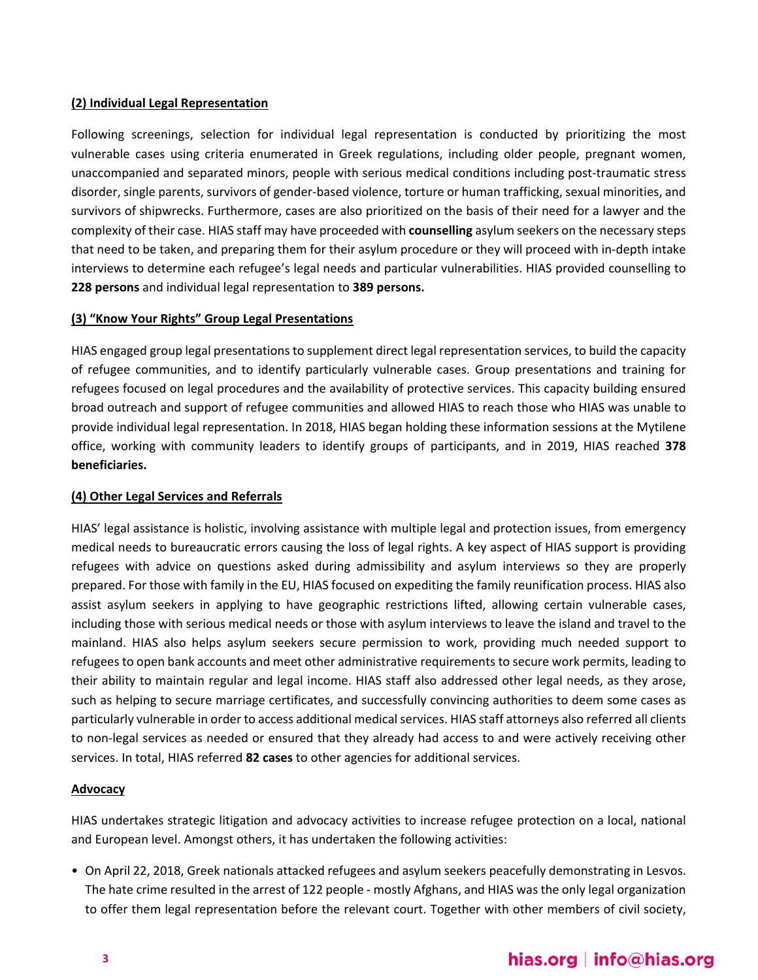#### **(2) Individual Legal Representation**

Following screenings, selection for individual legal representation is conducted by prioritizing the most vulnerable cases using criteria enumerated in Greek regulations, including older people, pregnant women, unaccompanied and separated minors, people with serious medical conditions including post‐traumatic stress disorder, single parents, survivors of gender‐based violence, torture or human trafficking, sexual minorities, and survivors of shipwrecks. Furthermore, cases are also prioritized on the basis of their need for a lawyer and the complexity of their case. HIAS staff may have proceeded with **counselling** asylum seekers on the necessary steps that need to be taken, and preparing them for their asylum procedure or they will proceed with in‐depth intake interviews to determine each refugee's legal needs and particular vulnerabilities. HIAS provided counselling to **228 persons** and individual legal representation to **389 persons.** 

#### **(3) "Know Your Rights" Group Legal Presentations**

HIAS engaged group legal presentations to supplement direct legal representation services, to build the capacity of refugee communities, and to identify particularly vulnerable cases. Group presentations and training for refugees focused on legal procedures and the availability of protective services. This capacity building ensured broad outreach and support of refugee communities and allowed HIAS to reach those who HIAS was unable to provide individual legal representation. In 2018, HIAS began holding these information sessions at the Mytilene office, working with community leaders to identify groups of participants, and in 2019, HIAS reached **378 beneficiaries.**

#### **(4) Other Legal Services and Referrals**

HIAS' legal assistance is holistic, involving assistance with multiple legal and protection issues, from emergency medical needs to bureaucratic errors causing the loss of legal rights. A key aspect of HIAS support is providing refugees with advice on questions asked during admissibility and asylum interviews so they are properly prepared. For those with family in the EU, HIAS focused on expediting the family reunification process. HIAS also assist asylum seekers in applying to have geographic restrictions lifted, allowing certain vulnerable cases, including those with serious medical needs or those with asylum interviews to leave the island and travel to the mainland. HIAS also helps asylum seekers secure permission to work, providing much needed support to refugees to open bank accounts and meet other administrative requirements to secure work permits, leading to their ability to maintain regular and legal income. HIAS staff also addressed other legal needs, as they arose, such as helping to secure marriage certificates, and successfully convincing authorities to deem some cases as particularly vulnerable in order to access additional medical services. HIAS staff attorneys also referred all clients to non‐legal services as needed or ensured that they already had access to and were actively receiving other services. In total, HIAS referred **82 cases** to other agencies for additional services.

#### **Advocacy**

HIAS undertakes strategic litigation and advocacy activities to increase refugee protection on a local, national and European level. Amongst others, it has undertaken the following activities:

• On April 22, 2018, Greek nationals attacked refugees and asylum seekers peacefully demonstrating in Lesvos. The hate crime resulted in the arrest of 122 people ‐ mostly Afghans, and HIAS was the only legal organization to offer them legal representation before the relevant court. Together with other members of civil society,

### hias.org | info@hias.org